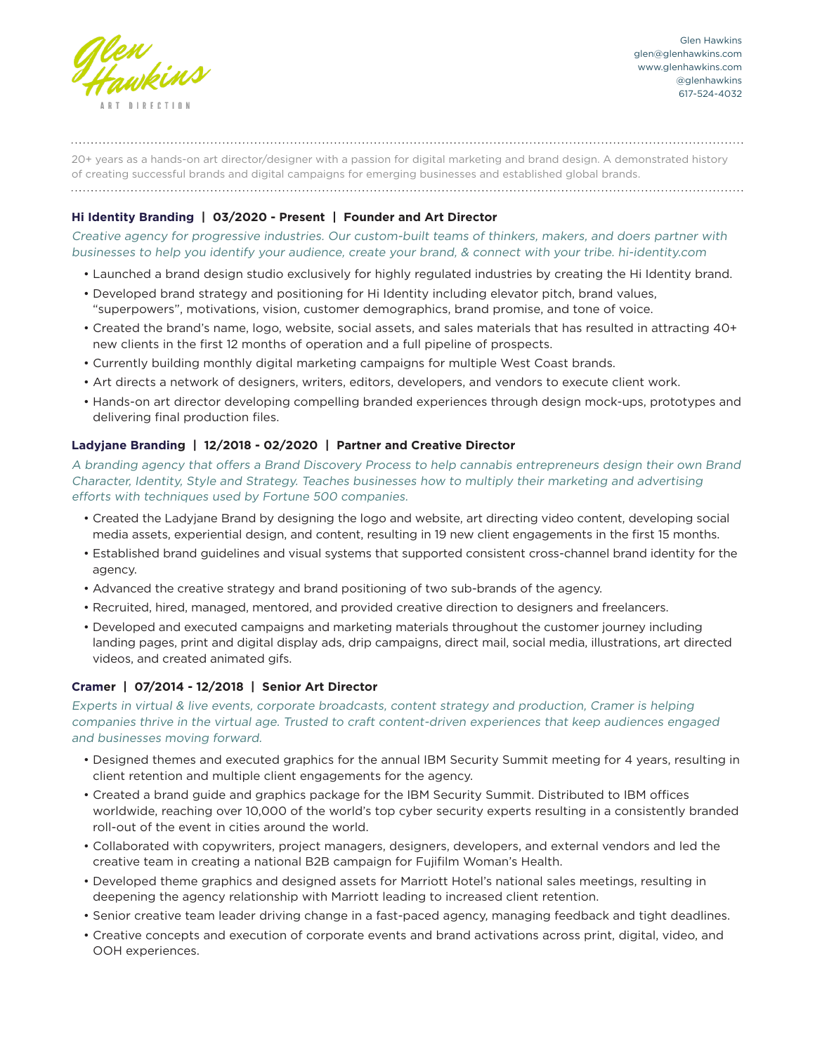

20+ years as a hands-on art director/designer with a passion for digital marketing and brand design. A demonstrated history of creating successful brands and digital campaigns for emerging businesses and established global brands. 

# **Hi Identity Branding | 03/2020 - Present | Founder and Art Director**

Creative agency for progressive industries. Our custom-built teams of thinkers, makers, and doers partner with businesses to help you identify your audience, create your brand, & connect with your tribe. hi-identity.com

- Launched a brand design studio exclusively for highly regulated industries by creating the Hi Identity brand.
- Developed brand strategy and positioning for Hi Identity including elevator pitch, brand values, "superpowers", motivations, vision, customer demographics, brand promise, and tone of voice.
- Created the brand's name, logo, website, social assets, and sales materials that has resulted in attracting 40+ new clients in the first 12 months of operation and a full pipeline of prospects.
- Currently building monthly digital marketing campaigns for multiple West Coast brands.
- Art directs a network of designers, writers, editors, developers, and vendors to execute client work.
- Hands-on art director developing compelling branded experiences through design mock-ups, prototypes and delivering final production files.

# **Ladyjane Branding | 12/2018 - 02/2020 | Partner and Creative Director**

A branding agency that offers a Brand Discovery Process to help cannabis entrepreneurs design their own Brand Character, Identity, Style and Strategy. Teaches businesses how to multiply their marketing and advertising efforts with techniques used by Fortune 500 companies.

- Created the Ladyjane Brand by designing the logo and website, art directing video content, developing social media assets, experiential design, and content, resulting in 19 new client engagements in the first 15 months.
- Established brand guidelines and visual systems that supported consistent cross-channel brand identity for the agency.
- Advanced the creative strategy and brand positioning of two sub-brands of the agency.
- Recruited, hired, managed, mentored, and provided creative direction to designers and freelancers.
- Developed and executed campaigns and marketing materials throughout the customer journey including landing pages, print and digital display ads, drip campaigns, direct mail, social media, illustrations, art directed videos, and created animated gifs.

# **Cramer | 07/2014 - 12/2018 | Senior Art Director**

Experts in virtual & live events, corporate broadcasts, content strategy and production, Cramer is helping companies thrive in the virtual age. Trusted to craft content-driven experiences that keep audiences engaged and businesses moving forward.

- Designed themes and executed graphics for the annual IBM Security Summit meeting for 4 years, resulting in client retention and multiple client engagements for the agency.
- Created a brand guide and graphics package for the IBM Security Summit. Distributed to IBM offices worldwide, reaching over 10,000 of the world's top cyber security experts resulting in a consistently branded roll-out of the event in cities around the world.
- Collaborated with copywriters, project managers, designers, developers, and external vendors and led the creative team in creating a national B2B campaign for Fujifilm Woman's Health.
- Developed theme graphics and designed assets for Marriott Hotel's national sales meetings, resulting in deepening the agency relationship with Marriott leading to increased client retention.
- Senior creative team leader driving change in a fast-paced agency, managing feedback and tight deadlines.
- Creative concepts and execution of corporate events and brand activations across print, digital, video, and OOH experiences.